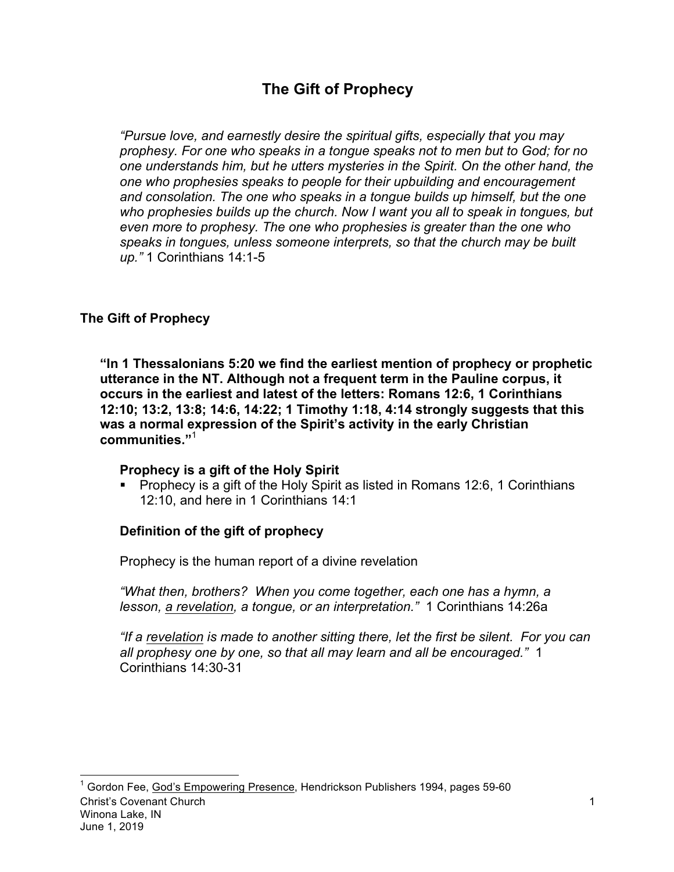# **The Gift of Prophecy**

*"Pursue love, and earnestly desire the spiritual gifts, especially that you may prophesy. For one who speaks in a tongue speaks not to men but to God; for no one understands him, but he utters mysteries in the Spirit. On the other hand, the one who prophesies speaks to people for their upbuilding and encouragement and consolation. The one who speaks in a tongue builds up himself, but the one who prophesies builds up the church. Now I want you all to speak in tongues, but even more to prophesy. The one who prophesies is greater than the one who speaks in tongues, unless someone interprets, so that the church may be built up."* 1 Corinthians 14:1-5

### **The Gift of Prophecy**

**"In 1 Thessalonians 5:20 we find the earliest mention of prophecy or prophetic utterance in the NT. Although not a frequent term in the Pauline corpus, it occurs in the earliest and latest of the letters: Romans 12:6, 1 Corinthians 12:10; 13:2, 13:8; 14:6, 14:22; 1 Timothy 1:18, 4:14 strongly suggests that this was a normal expression of the Spirit's activity in the early Christian communities."**<sup>1</sup>

#### **Prophecy is a gift of the Holy Spirit**

■ Prophecy is a gift of the Holy Spirit as listed in Romans 12:6, 1 Corinthians 12:10, and here in 1 Corinthians 14:1

### **Definition of the gift of prophecy**

Prophecy is the human report of a divine revelation

*"What then, brothers? When you come together, each one has a hymn, a lesson, a revelation, a tongue, or an interpretation."* 1 Corinthians 14:26a

*"If a revelation is made to another sitting there, let the first be silent. For you can all prophesy one by one, so that all may learn and all be encouraged."* 1 Corinthians 14:30-31

Christ's Covenant Church Winona Lake, IN June 1, 2019  $^1$  Gordon Fee, God's Empowering Presence, Hendrickson Publishers 1994, pages 59-60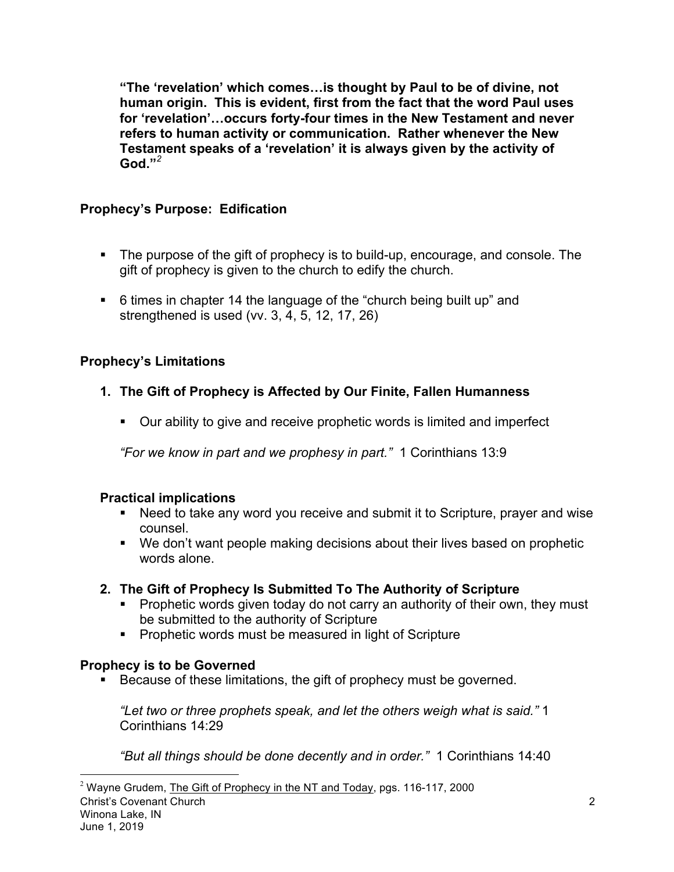**"The 'revelation' which comes…is thought by Paul to be of divine, not human origin. This is evident, first from the fact that the word Paul uses for 'revelation'…occurs forty-four times in the New Testament and never refers to human activity or communication. Rather whenever the New Testament speaks of a 'revelation' it is always given by the activity of God."***<sup>2</sup>*

# **Prophecy's Purpose: Edification**

- The purpose of the gift of prophecy is to build-up, encourage, and console. The gift of prophecy is given to the church to edify the church.
- § 6 times in chapter 14 the language of the "church being built up" and strengthened is used (vv. 3, 4, 5, 12, 17, 26)

# **Prophecy's Limitations**

# **1. The Gift of Prophecy is Affected by Our Finite, Fallen Humanness**

• Our ability to give and receive prophetic words is limited and imperfect

*"For we know in part and we prophesy in part."* 1 Corinthians 13:9

# **Practical implications**

- Need to take any word you receive and submit it to Scripture, prayer and wise counsel.
- We don't want people making decisions about their lives based on prophetic words alone.
- **2. The Gift of Prophecy Is Submitted To The Authority of Scripture**
	- Prophetic words given today do not carry an authority of their own, they must be submitted to the authority of Scripture
	- Prophetic words must be measured in light of Scripture

# **Prophecy is to be Governed**

■ Because of these limitations, the gift of prophecy must be governed.

*"Let two or three prophets speak, and let the others weigh what is said."* 1 Corinthians 14:29

*"But all things should be done decently and in order."* 1 Corinthians 14:40

 $2$  Wayne Grudem, The Gift of Prophecy in the NT and Today, pgs. 116-117, 2000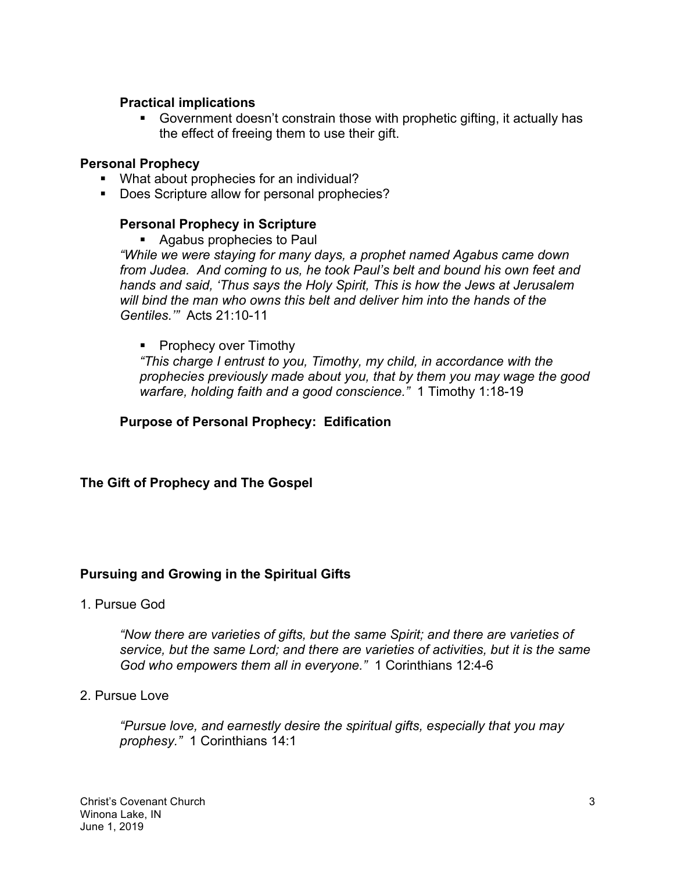#### **Practical implications**

§ Government doesn't constrain those with prophetic gifting, it actually has the effect of freeing them to use their gift.

#### **Personal Prophecy**

- What about prophecies for an individual?
- Does Scripture allow for personal prophecies?

### **Personal Prophecy in Scripture**

■ Agabus prophecies to Paul

*"While we were staying for many days, a prophet named Agabus came down from Judea. And coming to us, he took Paul's belt and bound his own feet and hands and said, 'Thus says the Holy Spirit, This is how the Jews at Jerusalem will bind the man who owns this belt and deliver him into the hands of the Gentiles.'"* Acts 21:10-11

### ■ Prophecy over Timothy

*"This charge I entrust to you, Timothy, my child, in accordance with the prophecies previously made about you, that by them you may wage the good warfare, holding faith and a good conscience."* 1 Timothy 1:18-19

### **Purpose of Personal Prophecy: Edification**

#### **The Gift of Prophecy and The Gospel**

### **Pursuing and Growing in the Spiritual Gifts**

1. Pursue God

*"Now there are varieties of gifts, but the same Spirit; and there are varieties of service, but the same Lord; and there are varieties of activities, but it is the same God who empowers them all in everyone."* 1 Corinthians 12:4-6

#### 2. Pursue Love

*"Pursue love, and earnestly desire the spiritual gifts, especially that you may prophesy."* 1 Corinthians 14:1